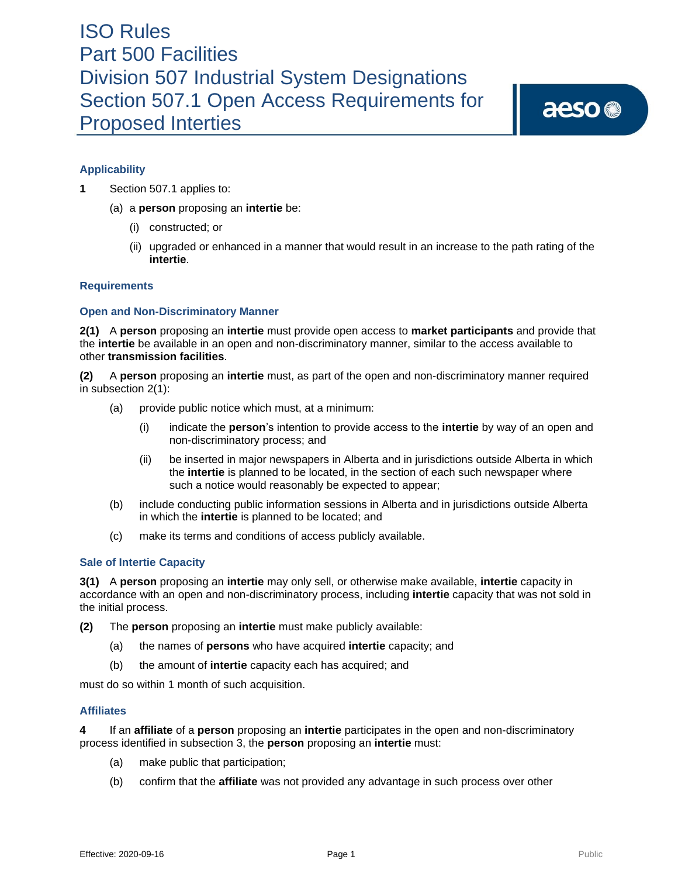# ISO Rules Part 500 Facilities Division 507 Industrial System Designations Section 507.1 Open Access Requirements for Proposed Interties

aeso<sup>®</sup>

## **Applicability**

- **1** Section 507.1 applies to:
	- (a) a **person** proposing an **intertie** be:
		- (i) constructed; or
		- (ii) upgraded or enhanced in a manner that would result in an increase to the path rating of the **intertie**.

## **Requirements**

## **Open and Non-Discriminatory Manner**

**2(1)** A **person** proposing an **intertie** must provide open access to **market participants** and provide that the **intertie** be available in an open and non-discriminatory manner, similar to the access available to other **transmission facilities**.

**(2)** A **person** proposing an **intertie** must, as part of the open and non-discriminatory manner required in subsection 2(1):

- (a) provide public notice which must, at a minimum:
	- (i) indicate the **person**'s intention to provide access to the **intertie** by way of an open and non-discriminatory process; and
	- (ii) be inserted in major newspapers in Alberta and in jurisdictions outside Alberta in which the **intertie** is planned to be located, in the section of each such newspaper where such a notice would reasonably be expected to appear;
- (b) include conducting public information sessions in Alberta and in jurisdictions outside Alberta in which the **intertie** is planned to be located; and
- (c) make its terms and conditions of access publicly available.

## **Sale of Intertie Capacity**

**3(1)** A **person** proposing an **intertie** may only sell, or otherwise make available, **intertie** capacity in accordance with an open and non-discriminatory process, including **intertie** capacity that was not sold in the initial process.

**(2)** The **person** proposing an **intertie** must make publicly available:

- (a) the names of **persons** who have acquired **intertie** capacity; and
- (b) the amount of **intertie** capacity each has acquired; and

must do so within 1 month of such acquisition.

#### **Affiliates**

**4** If an **affiliate** of a **person** proposing an **intertie** participates in the open and non-discriminatory process identified in subsection 3, the **person** proposing an **intertie** must:

- (a) make public that participation;
- (b) confirm that the **affiliate** was not provided any advantage in such process over other